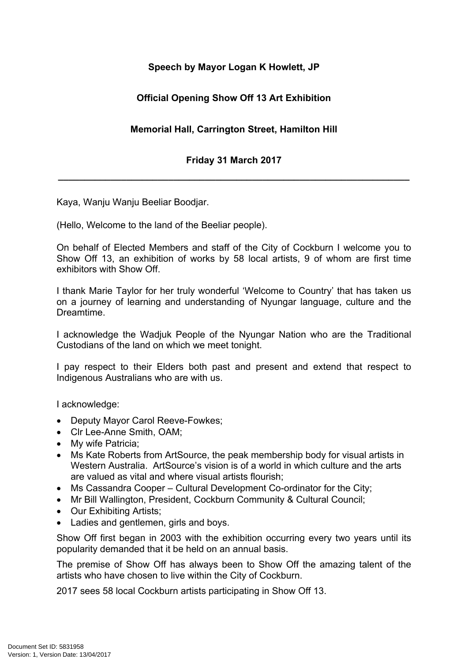## **Speech by Mayor Logan K Howlett, JP**

## **Official Opening Show Off 13 Art Exhibition**

## **Memorial Hall, Carrington Street, Hamilton Hill**

## **Friday 31 March 2017**

**\_\_\_\_\_\_\_\_\_\_\_\_\_\_\_\_\_\_\_\_\_\_\_\_\_\_\_\_\_\_\_\_\_\_\_\_\_\_\_\_\_\_\_\_\_\_\_\_\_\_\_\_\_\_\_\_\_\_\_\_\_\_\_\_\_\_\_**

Kaya, Wanju Wanju Beeliar Boodjar.

(Hello, Welcome to the land of the Beeliar people).

On behalf of Elected Members and staff of the City of Cockburn I welcome you to Show Off 13, an exhibition of works by 58 local artists, 9 of whom are first time exhibitors with Show Off.

I thank Marie Taylor for her truly wonderful 'Welcome to Country' that has taken us on a journey of learning and understanding of Nyungar language, culture and the Dreamtime.

I acknowledge the Wadjuk People of the Nyungar Nation who are the Traditional Custodians of the land on which we meet tonight.

I pay respect to their Elders both past and present and extend that respect to Indigenous Australians who are with us.

I acknowledge:

- Deputy Mayor Carol Reeve-Fowkes;
- Clr Lee-Anne Smith, OAM;
- My wife Patricia:
- Ms Kate Roberts from ArtSource, the peak membership body for visual artists in Western Australia. ArtSource's vision is of a world in which culture and the arts are valued as vital and where visual artists flourish;
- Ms Cassandra Cooper Cultural Development Co-ordinator for the City;
- Mr Bill Wallington, President, Cockburn Community & Cultural Council;
- Our Exhibiting Artists:
- Ladies and gentlemen, girls and boys.

Show Off first began in 2003 with the exhibition occurring every two years until its popularity demanded that it be held on an annual basis.

The premise of Show Off has always been to Show Off the amazing talent of the artists who have chosen to live within the City of Cockburn.

2017 sees 58 local Cockburn artists participating in Show Off 13.